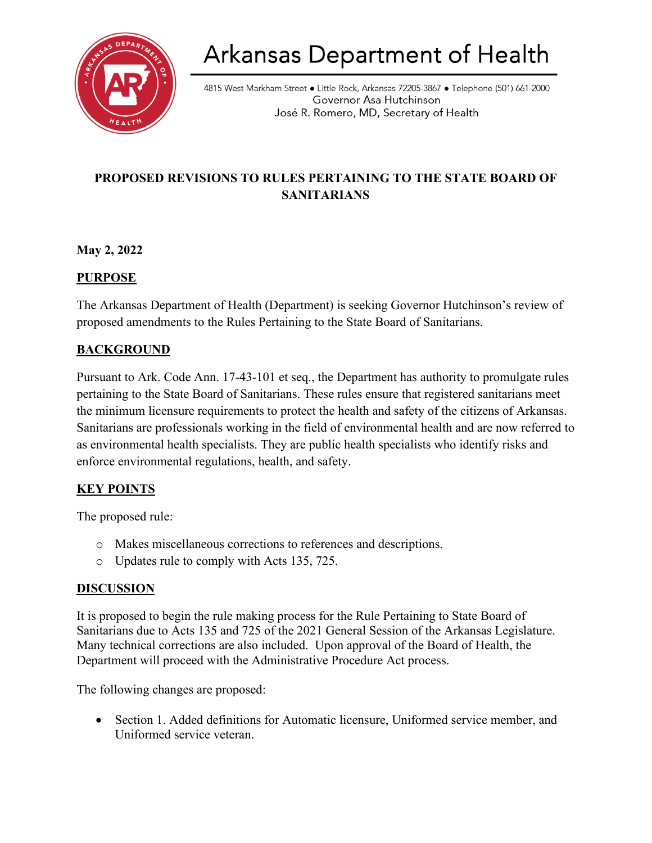

# Arkansas Department of Health

4815 West Markham Street • Little Rock, Arkansas 72205-3867 • Telephone (501) 661-2000 Governor Asa Hutchinson José R. Romero, MD, Secretary of Health

# **PROPOSED REVISIONS TO RULES PERTAINING TO THE STATE BOARD OF SANITARIANS**

## **May 2, 2022**

### **PURPOSE**

The Arkansas Department of Health (Department) is seeking Governor Hutchinson's review of proposed amendments to the Rules Pertaining to the State Board of Sanitarians.

### **BACKGROUND**

Pursuant to Ark. Code Ann. 17-43-101 et seq., the Department has authority to promulgate rules pertaining to the State Board of Sanitarians. These rules ensure that registered sanitarians meet the minimum licensure requirements to protect the health and safety of the citizens of Arkansas. Sanitarians are professionals working in the field of environmental health and are now referred to as environmental health specialists. They are public health specialists who identify risks and enforce environmental regulations, health, and safety.

#### **KEY POINTS**

The proposed rule:

- o Makes miscellaneous corrections to references and descriptions.
- o Updates rule to comply with Acts 135, 725.

#### **DISCUSSION**

It is proposed to begin the rule making process for the Rule Pertaining to State Board of Sanitarians due to Acts 135 and 725 of the 2021 General Session of the Arkansas Legislature. Many technical corrections are also included. Upon approval of the Board of Health, the Department will proceed with the Administrative Procedure Act process.

The following changes are proposed:

• Section 1. Added definitions for Automatic licensure, Uniformed service member, and Uniformed service veteran.